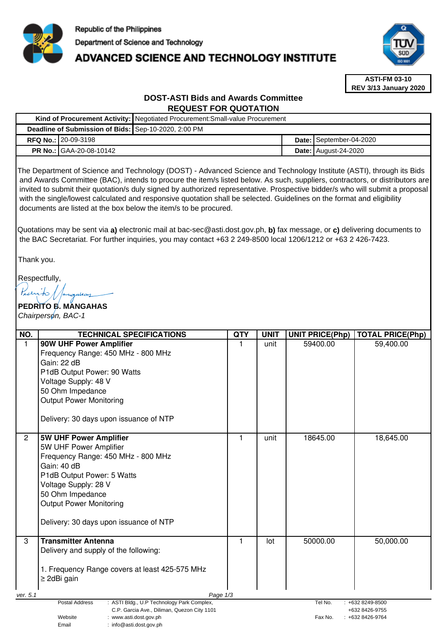

# **ADVANCED SCIENCE AND TECHNOLOGY INSTITUTE**



**ASTI-FM 03-10 REV 3/13 January 2020**

# **DOST-ASTI Bids and Awards Committee REQUEST FOR QUOTATION**

|                                                      |                                | Kind of Procurement Activity:   Negotiated Procurement: Small-value Procurement |  |                             |  |
|------------------------------------------------------|--------------------------------|---------------------------------------------------------------------------------|--|-----------------------------|--|
| Deadline of Submission of Bids: Sep-10-2020, 2:00 PM |                                |                                                                                 |  |                             |  |
|                                                      | <b>RFQ No.: 20-09-3198</b>     |                                                                                 |  | Date: September-04-2020     |  |
|                                                      | <b>PR No.: GAA-20-08-10142</b> |                                                                                 |  | <b>Date: August-24-2020</b> |  |
|                                                      |                                |                                                                                 |  |                             |  |

The Department of Science and Technology (DOST) - Advanced Science and Technology Institute (ASTI), through its Bids and Awards Committee (BAC), intends to procure the item/s listed below. As such, suppliers, contractors, or distributors are invited to submit their quotation/s duly signed by authorized representative. Prospective bidder/s who will submit a proposal with the single/lowest calculated and responsive quotation shall be selected. Guidelines on the format and eligibility documents are listed at the box below the item/s to be procured.

Quotations may be sent via **a)** electronic mail at bac-sec@asti.dost.gov.ph, **b)** fax message, or **c)** delivering documents to the BAC Secretariat. For further inquiries, you may contact +63 2 249-8500 local 1206/1212 or +63 2 426-7423.

Thank you.

Respectfully,

**PEDRITO B. MANGAHAS**  Chairperson, BAC-1

| NO.                                                                                                         | <b>TECHNICAL SPECIFICATIONS</b>                                    | <b>QTY</b> | <b>UNIT</b>                                      | <b>UNIT PRICE(Php)</b> | <b>TOTAL PRICE(Php)</b> |  |
|-------------------------------------------------------------------------------------------------------------|--------------------------------------------------------------------|------------|--------------------------------------------------|------------------------|-------------------------|--|
| $\mathbf{1}$                                                                                                | 90W UHF Power Amplifier<br>Frequency Range: 450 MHz - 800 MHz      | 1          | unit                                             | 59400.00               | 59,400.00               |  |
|                                                                                                             | Gain: 22 dB<br>P1dB Output Power: 90 Watts                         |            |                                                  |                        |                         |  |
|                                                                                                             | Voltage Supply: 48 V                                               |            |                                                  |                        |                         |  |
|                                                                                                             | 50 Ohm Impedance                                                   |            |                                                  |                        |                         |  |
|                                                                                                             | <b>Output Power Monitoring</b>                                     |            |                                                  |                        |                         |  |
|                                                                                                             | Delivery: 30 days upon issuance of NTP                             |            |                                                  |                        |                         |  |
| $\overline{2}$                                                                                              | 5W UHF Power Amplifier                                             | 1          | unit                                             | 18645.00               | 18,645.00               |  |
|                                                                                                             | 5W UHF Power Amplifier<br>Frequency Range: 450 MHz - 800 MHz       |            |                                                  |                        |                         |  |
|                                                                                                             | Gain: 40 dB                                                        |            |                                                  |                        |                         |  |
|                                                                                                             | P1dB Output Power: 5 Watts                                         |            |                                                  |                        |                         |  |
|                                                                                                             | Voltage Supply: 28 V                                               |            |                                                  |                        |                         |  |
|                                                                                                             | 50 Ohm Impedance                                                   |            |                                                  |                        |                         |  |
|                                                                                                             | <b>Output Power Monitoring</b>                                     |            |                                                  |                        |                         |  |
|                                                                                                             | Delivery: 30 days upon issuance of NTP                             |            |                                                  |                        |                         |  |
| 3                                                                                                           | <b>Transmitter Antenna</b>                                         | 1          | lot                                              | 50000.00               | 50,000.00               |  |
|                                                                                                             | Delivery and supply of the following:                              |            |                                                  |                        |                         |  |
|                                                                                                             |                                                                    |            |                                                  |                        |                         |  |
|                                                                                                             | 1. Frequency Range covers at least 425-575 MHz<br>$\geq$ 2dBi gain |            |                                                  |                        |                         |  |
|                                                                                                             |                                                                    |            |                                                  |                        |                         |  |
| Page 1/3<br>ver. 5.1                                                                                        |                                                                    |            |                                                  |                        |                         |  |
| Postal Address<br>: ASTI Bldg., U.P Technology Park Complex,<br>C.P. Garcia Ave., Diliman, Quezon City 1101 |                                                                    |            | Tel No.<br>$: +6328249 - 8500$<br>+632 8426-9755 |                        |                         |  |
|                                                                                                             | Website<br>: www.asti.dost.gov.ph                                  |            |                                                  | Fax No.                | $: +6328426-9764$       |  |
|                                                                                                             | Email<br>: info@asti.dost.gov.ph                                   |            |                                                  |                        |                         |  |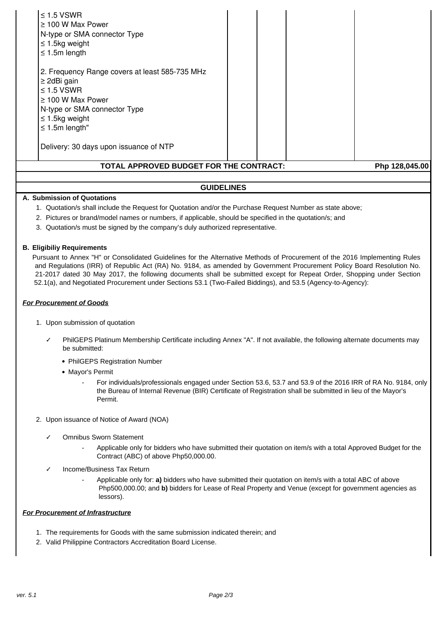| $\leq$ 1.5 VSWR<br>$\geq$ 100 W Max Power<br>N-type or SMA connector Type<br>$\leq$ 1.5kg weight                                                                                              |  |  |  |  |  |  |
|-----------------------------------------------------------------------------------------------------------------------------------------------------------------------------------------------|--|--|--|--|--|--|
| $\leq$ 1.5m length                                                                                                                                                                            |  |  |  |  |  |  |
| 2. Frequency Range covers at least 585-735 MHz<br>$\geq$ 2dBi gain<br>$\leq$ 1.5 VSWR<br>$\geq$ 100 W Max Power<br>N-type or SMA connector Type<br>$\leq$ 1.5kg weight<br>$\leq$ 1.5m length" |  |  |  |  |  |  |
| Delivery: 30 days upon issuance of NTP                                                                                                                                                        |  |  |  |  |  |  |
| TOTAL APPROVED BUDGET FOR THE CONTRACT:<br>Php 128,045.00                                                                                                                                     |  |  |  |  |  |  |
| <b>GUIDELINES</b>                                                                                                                                                                             |  |  |  |  |  |  |

#### **A. Submission of Quotations**

- 1. Quotation/s shall include the Request for Quotation and/or the Purchase Request Number as state above;
- 2. Pictures or brand/model names or numbers, if applicable, should be specified in the quotation/s; and
- 3. Quotation/s must be signed by the company's duly authorized representative.

#### **B. Eligibiliy Requirements**

Pursuant to Annex "H" or Consolidated Guidelines for the Alternative Methods of Procurement of the 2016 Implementing Rules and Regulations (IRR) of Republic Act (RA) No. 9184, as amended by Government Procurement Policy Board Resolution No. 21-2017 dated 30 May 2017, the following documents shall be submitted except for Repeat Order, Shopping under Section 52.1(a), and Negotiated Procurement under Sections 53.1 (Two-Failed Biddings), and 53.5 (Agency-to-Agency):

#### **For Procurement of Goods**

- 1. Upon submission of quotation
	- PhilGEPS Platinum Membership Certificate including Annex "A". If not available, the following alternate documents may be submitted:
		- PhilGEPS Registration Number
		- Mayor's Permit
			- For individuals/professionals engaged under Section 53.6, 53.7 and 53.9 of the 2016 IRR of RA No. 9184, only the Bureau of Internal Revenue (BIR) Certificate of Registration shall be submitted in lieu of the Mayor's Permit.
- 2. Upon issuance of Notice of Award (NOA)
	- ✓ Omnibus Sworn Statement
		- Applicable only for bidders who have submitted their quotation on item/s with a total Approved Budget for the Contract (ABC) of above Php50,000.00.
	- ✓ Income/Business Tax Return
		- Applicable only for: **a)** bidders who have submitted their quotation on item/s with a total ABC of above Php500,000.00; and **b)** bidders for Lease of Real Property and Venue (except for government agencies as lessors).

## **For Procurement of Infrastructure**

- 1. The requirements for Goods with the same submission indicated therein; and
- 2. Valid Philippine Contractors Accreditation Board License.